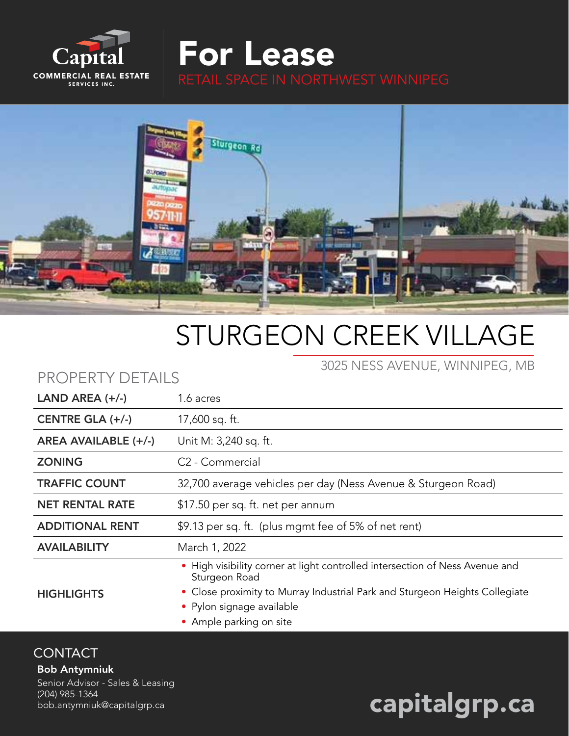

For Lease



# STURGEON CREEK VILLAGE

#### 3025 NESS AVENUE, WINNIPEG, MB

#### $LAND AREA (+/-)$  1.6 acres CENTRE GLA (+/-) 17,600 sq. ft. AREA AVAILABLE (+/-) Unit M: 3,240 sq. ft. ZONING C2 - Commercial TRAFFIC COUNT 32,700 average vehicles per day (Ness Avenue & Sturgeon Road) NET RENTAL RATE \$17.50 per sq. ft. net per annum ADDITIONAL RENT \$9.13 per sq. ft. (plus mgmt fee of 5% of net rent) AVAILABILITY March 1, 2022 **HIGHLIGHTS** • High visibility corner at light controlled intersection of Ness Avenue and Sturgeon Road • Close proximity to Murray Industrial Park and Sturgeon Heights Collegiate • Pylon signage available • Ample parking on site

#### **CONTACT**

Bob Antymniuk Senior Advisor - Sales & Leasing (204) 985-1364

PROPERTY DETAILS

# kob.antymniuk@capitalgrp.ca capitalgrp.ca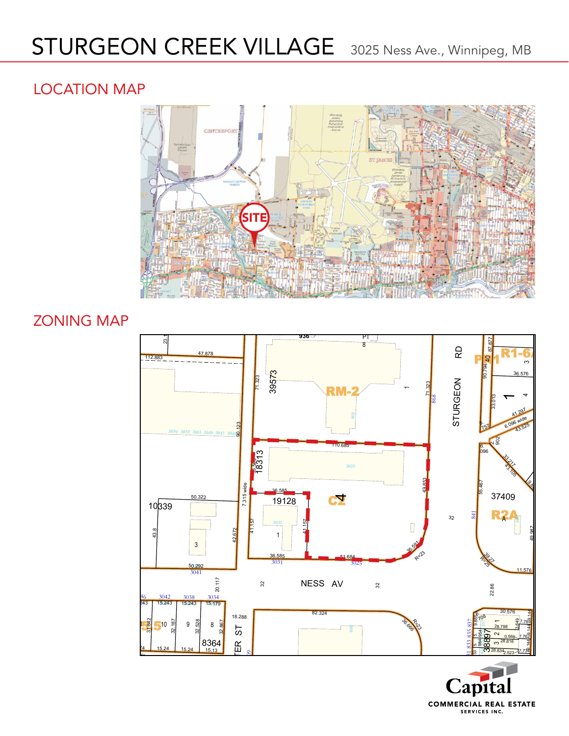## LOCATION MAP



# ZONING MAP



**819 821 825 827 819A 821A 825A 827A** Capit  $2a$ <br>ERC<br>SER 3 4 3 2 **COMMERCIAL REAL ESTATE** SERVICES INC.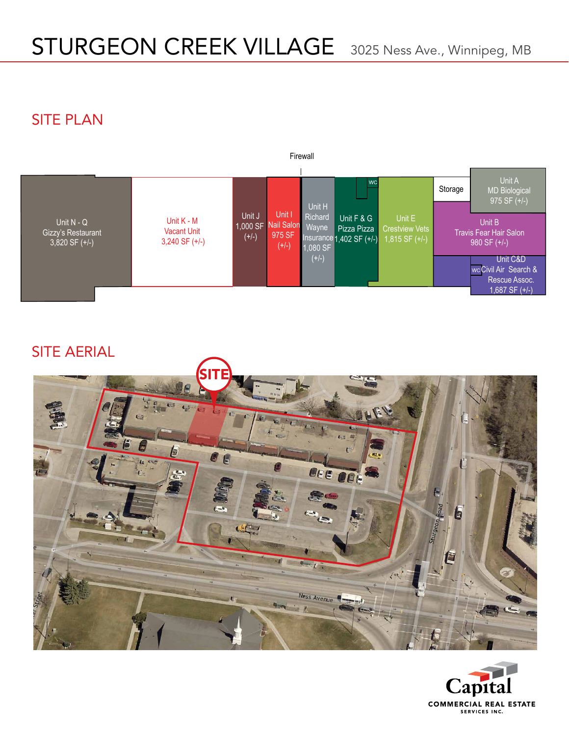### SITE PLAN



#### SITE AERIAL